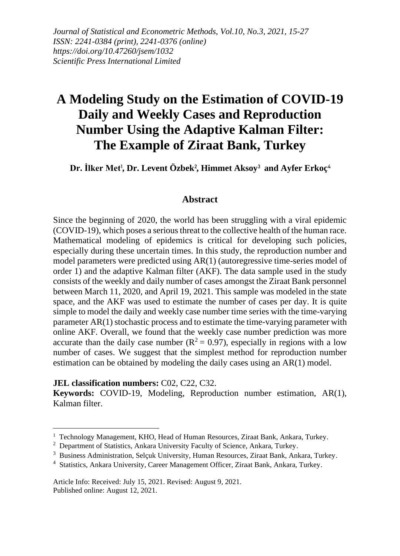*Journal of Statistical and Econometric Methods, Vol.10, No.3, 2021, 15-27 ISSN: 2241-0384 (print), 2241-0376 (online) https://doi.org/10.47260/jsem/1032 Scientific Press International Limited*

# **A Modeling Study on the Estimation of COVID-19 Daily and Weekly Cases and Reproduction Number Using the Adaptive Kalman Filter: The Example of Ziraat Bank, Turkey**

**Dr. İlker Met**<sup>1</sup> **, Dr. Levent Özbek**<sup>2</sup> **, Himmet Aksoy**<sup>3</sup> **and Ayfer Erkoç**<sup>4</sup>

### **Abstract**

Since the beginning of 2020, the world has been struggling with a viral epidemic (COVID-19), which poses a serious threat to the collective health of the human race. Mathematical modeling of epidemics is critical for developing such policies, especially during these uncertain times. In this study, the reproduction number and model parameters were predicted using AR(1) (autoregressive time-series model of order 1) and the adaptive Kalman filter (AKF). The data sample used in the study consists of the weekly and daily number of cases amongst the Ziraat Bank personnel between March 11, 2020, and April 19, 2021. This sample was modeled in the state space, and the AKF was used to estimate the number of cases per day. It is quite simple to model the daily and weekly case number time series with the time-varying parameter AR(1) stochastic process and to estimate the time-varying parameter with online AKF. Overall, we found that the weekly case number prediction was more accurate than the daily case number ( $R^2 = 0.97$ ), especially in regions with a low number of cases. We suggest that the simplest method for reproduction number estimation can be obtained by modeling the daily cases using an AR(1) model.

**JEL classification numbers:** C02, C22, C32.

**Keywords:** COVID-19, Modeling, Reproduction number estimation, AR(1), Kalman filter.

Article Info: Received: July 15, 2021. Revised: August 9, 2021. Published online: August 12, 2021.

 $1$  Technology Management, KHO, Head of Human Resources, Ziraat Bank, Ankara, Turkey.

<sup>&</sup>lt;sup>2</sup> Department of Statistics, Ankara University Faculty of Science, Ankara, Turkey.

<sup>&</sup>lt;sup>3</sup> Business Administration, Selçuk University, Human Resources, Ziraat Bank, Ankara, Turkey.

<sup>4</sup> Statistics, Ankara University, Career Management Officer, Ziraat Bank, Ankara, Turkey.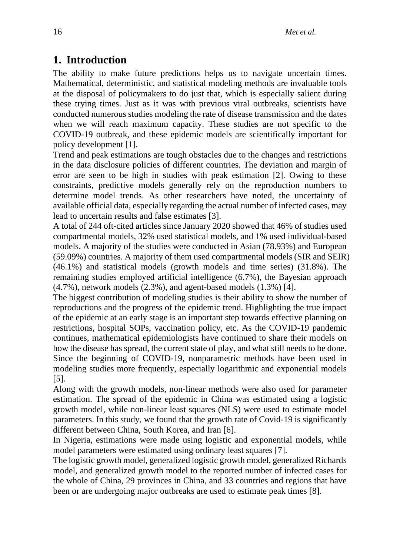# **1. Introduction**

The ability to make future predictions helps us to navigate uncertain times. Mathematical, deterministic, and statistical modeling methods are invaluable tools at the disposal of policymakers to do just that, which is especially salient during these trying times. Just as it was with previous viral outbreaks, scientists have conducted numerous studies modeling the rate of disease transmission and the dates when we will reach maximum capacity. These studies are not specific to the COVID-19 outbreak, and these epidemic models are scientifically important for policy development [1].

Trend and peak estimations are tough obstacles due to the changes and restrictions in the data disclosure policies of different countries. The deviation and margin of error are seen to be high in studies with peak estimation [2]. Owing to these constraints, predictive models generally rely on the reproduction numbers to determine model trends. As other researchers have noted, the uncertainty of available official data, especially regarding the actual number of infected cases, may lead to uncertain results and false estimates [3].

A total of 244 oft-cited articles since January 2020 showed that 46% of studies used compartmental models, 32% used statistical models, and 1% used individual-based models. A majority of the studies were conducted in Asian (78.93%) and European (59.09%) countries. A majority of them used compartmental models (SIR and SEIR) (46.1%) and statistical models (growth models and time series) (31.8%). The remaining studies employed artificial intelligence (6.7%), the Bayesian approach (4.7%), network models (2.3%), and agent-based models (1.3%) [4].

The biggest contribution of modeling studies is their ability to show the number of reproductions and the progress of the epidemic trend. Highlighting the true impact of the epidemic at an early stage is an important step towards effective planning on restrictions, hospital SOPs, vaccination policy, etc. As the COVID-19 pandemic continues, mathematical epidemiologists have continued to share their models on how the disease has spread, the current state of play, and what still needs to be done. Since the beginning of COVID-19, nonparametric methods have been used in modeling studies more frequently, especially logarithmic and exponential models [5].

Along with the growth models, non-linear methods were also used for parameter estimation. The spread of the epidemic in China was estimated using a logistic growth model, while non-linear least squares (NLS) were used to estimate model parameters. In this study, we found that the growth rate of Covid-19 is significantly different between China, South Korea, and Iran [6].

In Nigeria, estimations were made using logistic and exponential models, while model parameters were estimated using ordinary least squares [7].

The logistic growth model, generalized logistic growth model, generalized Richards model, and generalized growth model to the reported number of infected cases for the whole of China, 29 provinces in China, and 33 countries and regions that have been or are undergoing major outbreaks are used to estimate peak times [8].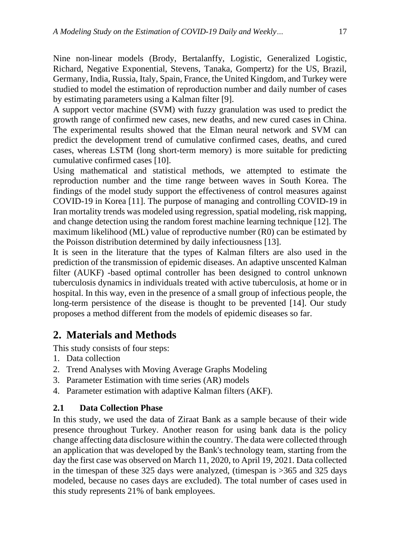Nine non-linear models (Brody, Bertalanffy, Logistic, Generalized Logistic, Richard, Negative Exponential, Stevens, Tanaka, Gompertz) for the US, Brazil, Germany, India, Russia, Italy, Spain, France, the United Kingdom, and Turkey were studied to model the estimation of reproduction number and daily number of cases by estimating parameters using a Kalman filter [9].

A support vector machine (SVM) with fuzzy granulation was used to predict the growth range of confirmed new cases, new deaths, and new cured cases in China. The experimental results showed that the Elman neural network and SVM can predict the development trend of cumulative confirmed cases, deaths, and cured cases, whereas LSTM (long short-term memory) is more suitable for predicting cumulative confirmed cases [10].

Using mathematical and statistical methods, we attempted to estimate the reproduction number and the time range between waves in South Korea. The findings of the model study support the effectiveness of control measures against COVID-19 in Korea [11]. The purpose of managing and controlling COVID-19 in Iran mortality trends was modeled using regression, spatial modeling, risk mapping, and change detection using the random forest machine learning technique [12]. The maximum likelihood (ML) value of reproductive number (R0) can be estimated by the Poisson distribution determined by daily infectiousness [13].

It is seen in the literature that the types of Kalman filters are also used in the prediction of the transmission of epidemic diseases. An adaptive unscented Kalman filter (AUKF) -based optimal controller has been designed to control unknown tuberculosis dynamics in individuals treated with active tuberculosis, at home or in hospital. In this way, even in the presence of a small group of infectious people, the long-term persistence of the disease is thought to be prevented [14]. Our study proposes a method different from the models of epidemic diseases so far.

## **2. Materials and Methods**

This study consists of four steps:

- 1. Data collection
- 2. Trend Analyses with Moving Average Graphs Modeling
- 3. Parameter Estimation with time series (AR) models
- 4. Parameter estimation with adaptive Kalman filters (AKF).

### **2.1 Data Collection Phase**

In this study, we used the data of Ziraat Bank as a sample because of their wide presence throughout Turkey. Another reason for using bank data is the policy change affecting data disclosure within the country. The data were collected through an application that was developed by the Bank's technology team, starting from the day the first case was observed on March 11, 2020, to April 19, 2021. Data collected in the timespan of these 325 days were analyzed, (timespan is >365 and 325 days modeled, because no cases days are excluded). The total number of cases used in this study represents 21% of bank employees.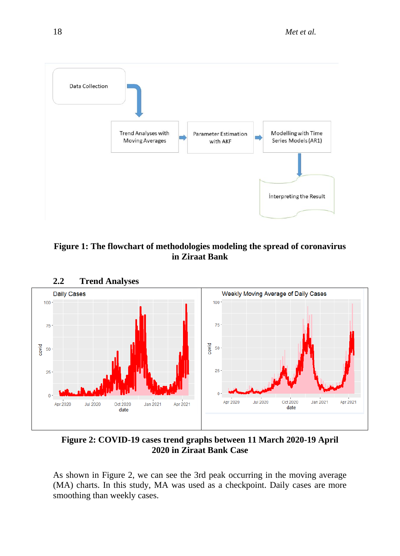

**Figure 1: The flowchart of methodologies modeling the spread of coronavirus in Ziraat Bank**



**2.2 Trend Analyses**

**Figure 2: COVID-19 cases trend graphs between 11 March 2020-19 April 2020 in Ziraat Bank Case**

As shown in Figure 2, we can see the 3rd peak occurring in the moving average (MA) charts. In this study, MA was used as a checkpoint. Daily cases are more smoothing than weekly cases.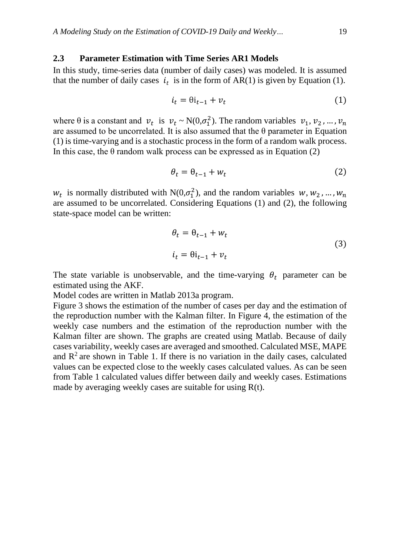#### **2.3 Parameter Estimation with Time Series AR1 Models**

In this study, time-series data (number of daily cases) was modeled. It is assumed that the number of daily cases  $i_t$  is in the form of AR(1) is given by Equation (1).

$$
i_t = \theta i_{t-1} + v_t \tag{1}
$$

where  $\theta$  is a constant and  $v_t$  is  $v_t \sim N(0, \sigma_1^2)$ . The random variables  $v_1, v_2, ..., v_n$ are assumed to be uncorrelated. It is also assumed that the  $\theta$  parameter in Equation (1) is time-varying and is a stochastic process in the form of a random walk process. In this case, the  $\theta$  random walk process can be expressed as in Equation (2)

$$
\theta_t = \theta_{t-1} + w_t \tag{2}
$$

 $w_t$  is normally distributed with N(0, $\sigma_1^2$ ), and the random variables  $w, w_2, ..., w_n$ are assumed to be uncorrelated. Considering Equations (1) and (2), the following state-space model can be written:

$$
\theta_t = \theta_{t-1} + w_t
$$
  
\n
$$
i_t = \theta i_{t-1} + v_t
$$
\n(3)

The state variable is unobservable, and the time-varying  $\theta_t$  parameter can be estimated using the AKF.

Model codes are written in Matlab 2013a program.

Figure 3 shows the estimation of the number of cases per day and the estimation of the reproduction number with the Kalman filter. In Figure 4, the estimation of the weekly case numbers and the estimation of the reproduction number with the Kalman filter are shown. The graphs are created using Matlab. Because of daily cases variability, weekly cases are averaged and smoothed. Calculated MSE, MAPE and  $\mathbb{R}^2$  are shown in Table 1. If there is no variation in the daily cases, calculated values can be expected close to the weekly cases calculated values. As can be seen from Table 1 calculated values differ between daily and weekly cases. Estimations made by averaging weekly cases are suitable for using R(t).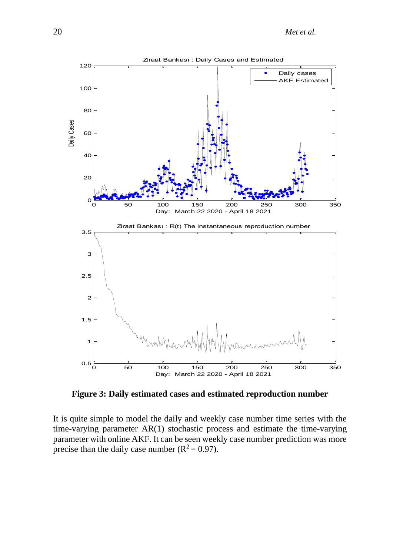

**Figure 3: Daily estimated cases and estimated reproduction number**

It is quite simple to model the daily and weekly case number time series with the time-varying parameter AR(1) stochastic process and estimate the time-varying parameter with online AKF. It can be seen weekly case number prediction was more precise than the daily case number ( $R^2 = 0.97$ ).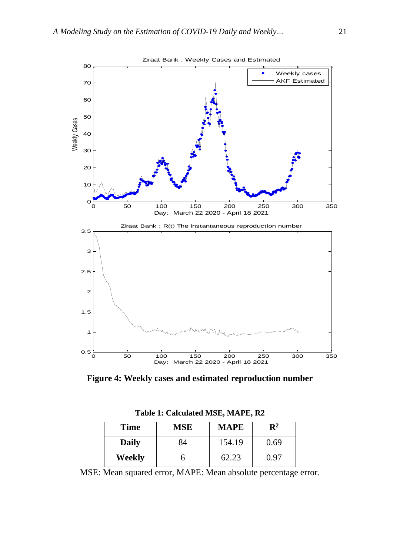

**Figure 4: Weekly cases and estimated reproduction number**

| <b>Time</b>  | MSE | <b>MAPE</b> | $\mathbf{R}^2$ |
|--------------|-----|-------------|----------------|
| <b>Daily</b> | 84  | 154.19      | 0.69           |
| Weekly       | n   | 62.23       | 0.97           |

**Table 1: Calculated MSE, MAPE, R2**

MSE: Mean squared error, MAPE: Mean absolute percentage error.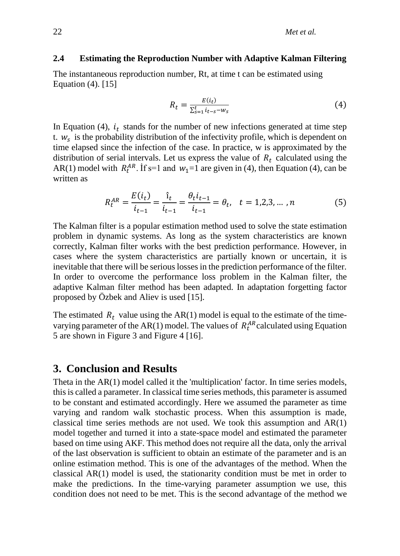#### **2.4 Estimating the Reproduction Number with Adaptive Kalman Filtering**

The instantaneous reproduction number, Rt, at time t can be estimated using Equation (4). [15]

$$
R_t = \frac{E(i_t)}{\sum_{s=1}^t i_{t-s} - w_s} \tag{4}
$$

In Equation (4),  $i_t$  stands for the number of new infections generated at time step t.  $w_s$  is the probability distribution of the infectivity profile, which is dependent on time elapsed since the infection of the case. In practice, w is approximated by the distribution of serial intervals. Let us express the value of  $R_t$  calculated using the AR(1) model with  $R_t^{AR}$ . If s=1 and  $w_1=1$  are given in (4), then Equation (4), can be written as

$$
R_t^{AR} = \frac{E(i_t)}{i_{t-1}} = \frac{\hat{i}_t}{i_{t-1}} = \frac{\theta_t i_{t-1}}{i_{t-1}} = \theta_t, \quad t = 1, 2, 3, \dots, n
$$
 (5)

The Kalman filter is a popular estimation method used to solve the state estimation problem in dynamic systems. As long as the system characteristics are known correctly, Kalman filter works with the best prediction performance. However, in cases where the system characteristics are partially known or uncertain, it is inevitable that there will be serious losses in the prediction performance of the filter. In order to overcome the performance loss problem in the Kalman filter, the adaptive Kalman filter method has been adapted. In adaptation forgetting factor proposed by Özbek and Aliev is used [15].

The estimated  $R_t$  value using the AR(1) model is equal to the estimate of the timevarying parameter of the AR(1) model. The values of  $R_t^{AR}$  calculated using Equation 5 are shown in Figure 3 and Figure 4 [16].

### **3. Conclusion and Results**

Theta in the AR(1) model called it the 'multiplication' factor. In time series models, this is called a parameter. In classical time series methods, this parameter is assumed to be constant and estimated accordingly. Here we assumed the parameter as time varying and random walk stochastic process. When this assumption is made, classical time series methods are not used. We took this assumption and AR(1) model together and turned it into a state-space model and estimated the parameter based on time using AKF. This method does not require all the data, only the arrival of the last observation is sufficient to obtain an estimate of the parameter and is an online estimation method. This is one of the advantages of the method. When the classical  $AR(1)$  model is used, the stationarity condition must be met in order to make the predictions. In the time-varying parameter assumption we use, this condition does not need to be met. This is the second advantage of the method we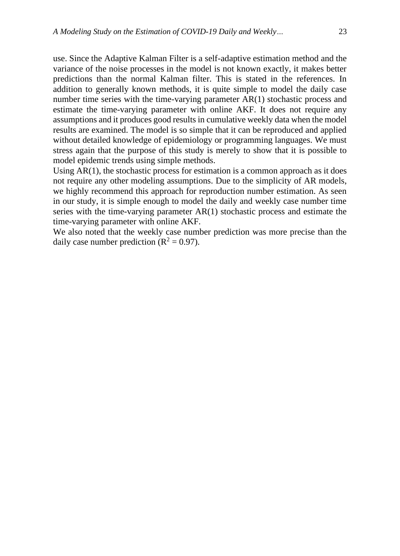use. Since the Adaptive Kalman Filter is a self-adaptive estimation method and the variance of the noise processes in the model is not known exactly, it makes better predictions than the normal Kalman filter. This is stated in the references. In addition to generally known methods, it is quite simple to model the daily case number time series with the time-varying parameter AR(1) stochastic process and estimate the time-varying parameter with online AKF. It does not require any assumptions and it produces good results in cumulative weekly data when the model results are examined. The model is so simple that it can be reproduced and applied without detailed knowledge of epidemiology or programming languages. We must stress again that the purpose of this study is merely to show that it is possible to model epidemic trends using simple methods.

Using  $AR(1)$ , the stochastic process for estimation is a common approach as it does not require any other modeling assumptions. Due to the simplicity of AR models, we highly recommend this approach for reproduction number estimation. As seen in our study, it is simple enough to model the daily and weekly case number time series with the time-varying parameter AR(1) stochastic process and estimate the time-varying parameter with online AKF.

We also noted that the weekly case number prediction was more precise than the daily case number prediction ( $\mathbb{R}^2 = 0.97$ ).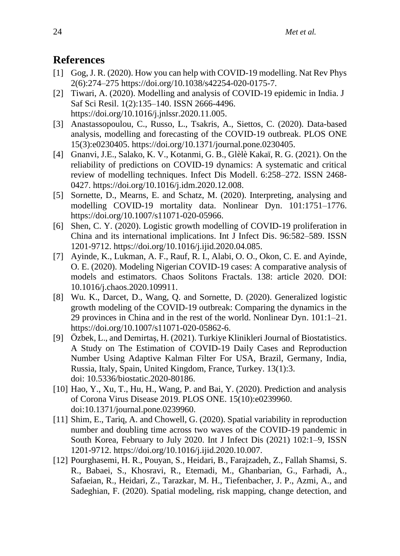# **References**

- [1] Gog, J. R. (2020). How you can help with COVID-19 modelling. Nat Rev Phys 2(6):274–275 [https://doi.org/10.1038/s42254-020-0175-7.](https://doi.org/10.1038/s42254-020-0175-7)
- [2] Tiwari, A. (2020). Modelling and analysis of COVID-19 epidemic in India. J Saf Sci Resil. 1(2):135–140. ISSN 2666-4496. [https://doi.org/10.1016/j.jnlssr.2020.11.005.](https://doi.org/10.1016/j.jnlssr.2020.11.005)
- [3] Anastassopoulou, C., Russo, L., Tsakris, A., Siettos, C. (2020). Data-based analysis, modelling and forecasting of the COVID-19 outbreak. PLOS ONE 15(3):e0230405. [https://doi.org/10.1371/journal.pone.0230405.](https://doi.org/10.1371/journal.pone.0230405)
- [4] Gnanvi, J.E., Salako, K. V., Kotanmi, G. B., Glèlè Kakaï, R. G. (2021). On the reliability of predictions on COVID-19 dynamics: A systematic and critical review of modelling techniques. Infect Dis Modell. 6:258–272. ISSN 2468- 0427. [https://doi.org/10.1016/j.idm.2020.12.008.](https://doi.org/10.1016/j.idm.2020.12.008)
- [5] Sornette, D., Mearns, E. and Schatz, M. (2020). Interpreting, analysing and modelling COVID-19 mortality data. Nonlinear Dyn. 101:1751–1776. [https://doi.org/10.1007/s11071-020-05966.](https://doi.org/10.1007/s11071-020-05966)
- [6] Shen, C. Y. (2020). Logistic growth modelling of COVID-19 proliferation in China and its international implications. Int J Infect Dis. 96:582–589. ISSN 1201-9712. [https://doi.org/10.1016/j.ijid.2020.04.085.](https://doi.org/10.1016/j.ijid.2020.04.085)
- [7] Ayinde, K., Lukman, A. F., Rauf, R. I., Alabi, O. O., Okon, C. E. and Ayinde, O. E. (2020). Modeling Nigerian COVID-19 cases: A comparative analysis of models and estimators. Chaos Solitons Fractals. 138: article 2020. DOI: [10.1016/j.chaos.2020.109911.](https://doi.org/10.1016/j.chaos.2020.109911)
- [8] Wu. K., Darcet, D., Wang, Q. and Sornette, D. (2020). Generalized logistic growth modeling of the COVID-19 outbreak: Comparing the dynamics in the 29 provinces in China and in the rest of the world. Nonlinear Dyn. 101:1–21. [https://doi.org/10.1007/s11071-020-05862-6.](https://doi.org/10.1007/s11071-020-05862-6)
- [9] Özbek, L., and Demirtaş, H. (2021). Turkiye Klinikleri Journal of Biostatistics. A Study on The Estimation of COVID-19 Daily Cases and Reproduction Number Using Adaptive Kalman Filter For USA, Brazil, Germany, India, Russia, Italy, Spain, United Kingdom, France, Turkey. 13(1):3. doi: [10.5336/biostatic.2020-80186.](https://doi.org/10.5336/biostatic.2020-80186)
- [10] Hao, Y., Xu, T., Hu, H., Wang, P. and Bai, Y. (2020). Prediction and analysis of Corona Virus Disease 2019. PLOS ONE. 15(10):e0239960. doi[:10.1371/journal.pone.0239960.](https://doi.org/10.1371/journal.pone.0239960)
- [11] Shim, E., Tariq, A. and Chowell, G. (2020). Spatial variability in reproduction number and doubling time across two waves of the COVID-19 pandemic in South Korea, February to July 2020. Int J Infect Dis (2021) 102:1–9, ISSN 1201-9712. [https://doi.org/10.1016/j.ijid.2020.10.007.](https://doi.org/10.1016/j.ijid.2020.10.007)
- [12] Pourghasemi, H. R., Pouyan, S., Heidari, B., Farajzadeh, Z., Fallah Shamsi, S. R., Babaei, S., Khosravi, R., Etemadi, M., Ghanbarian, G., Farhadi, A., Safaeian, R., Heidari, Z., Tarazkar, M. H., Tiefenbacher, J. P., Azmi, A., and Sadeghian, F. (2020). Spatial modeling, risk mapping, change detection, and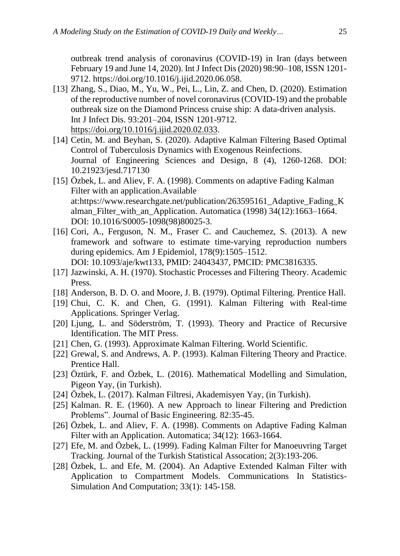outbreak trend analysis of coronavirus (COVID-19) in Iran (days between February 19 and June 14, 2020). Int J Infect Dis (2020) 98:90–108, ISSN 1201- 9712. [https://doi.org/10.1016/j.ijid.2020.06.058.](https://doi.org/10.1016/j.ijid.2020.06.058)

- [13] Zhang, S., Diao, M., Yu, W., Pei, L., Lin, Z. and Chen, D. (2020). Estimation of the reproductive number of novel coronavirus (COVID-19) and the probable outbreak size on the Diamond Princess cruise ship: A data-driven analysis. Int J Infect Dis. 93:201–204, ISSN 1201-9712. [https://doi.org/10.1016/j.ijid.2020.02.033.](https://doi.org/10.1016/j.ijid.2020.02.033)
- [14] Cetin, M. and Beyhan, S. (2020). Adaptive Kalman Filtering Based Optimal Control of Tuberculosis Dynamics with Exogenous Reinfections. Journal of Engineering Sciences and Design, 8 (4), 1260-1268. DOI: 10.21923/jesd.717130
- [15] Özbek, L. and Aliev, F. A. (1998). Comments on adaptive Fading Kalman Filter with an application.Available at:https://www.researchgate.net/publication/263595161\_Adaptive\_Fading\_K alman\_Filter\_with\_an\_Application. Automatica (1998) 34(12):1663–1664. DOI: [10.1016/S0005-1098\(98\)80025-3.](https://doi.org/10.1016/S0005-1098(98)80025-3)
- [16] Cori, A., Ferguson, N. M., Fraser C. and Cauchemez, S. (2013). A new framework and software to estimate time-varying reproduction numbers during epidemics. Am J Epidemiol, 178(9):1505–1512. DOI: [10.1093/aje/kwt133,](https://doi.org/10.1093/aje/kwt133) PMID: [24043437,](http://www.ncbi.nlm.nih.gov/pubmed/24043437) PMCID: [PMC3816335.](https://www.ncbi.nlm.nih.gov/pmc/articles/PMC3816335)
- [17] Jazwinski, A. H. (1970). Stochastic Processes and Filtering Theory. Academic Press.
- [18] Anderson, B. D. O. and Moore, J. B. (1979). Optimal Filtering. Prentice Hall.
- [19] Chui, C. K. and Chen, G. (1991). Kalman Filtering with Real-time Applications. Springer Verlag.
- [20] Ljung, L. and Söderström, T. (1993). Theory and Practice of Recursive Identification. The MIT Press.
- [21] Chen, G. (1993). Approximate Kalman Filtering. World Scientific.
- [22] Grewal, S. and Andrews, A. P. (1993). Kalman Filtering Theory and Practice. Prentice Hall.
- [23] Öztürk, F. and Özbek, L. (2016). Mathematical Modelling and Simulation, Pigeon Yay, (in Turkish).
- [24] Özbek, L. (2017). Kalman Filtresi, Akademisyen Yay, (in Turkish).
- [25] Kalman. R. E. (1960). A new Approach to linear Filtering and Prediction Problems". Journal of Basic Engineering. 82:35-45.
- [26] Özbek, L. and Aliev, F. A. (1998). Comments on Adaptive Fading Kalman Filter with an Application. Automatica; 34(12): 1663-1664.
- [27] Efe, M. and Özbek, L. (1999). Fading Kalman Filter for Manoeuvring Target Tracking. Journal of the Turkish Statistical Assocation; 2(3):193-206.
- [28] Özbek, L. and Efe, M. (2004). An Adaptive Extended Kalman Filter with Application to Compartment Models. Communications In Statistics-Simulation And Computation; 33(1): 145-158.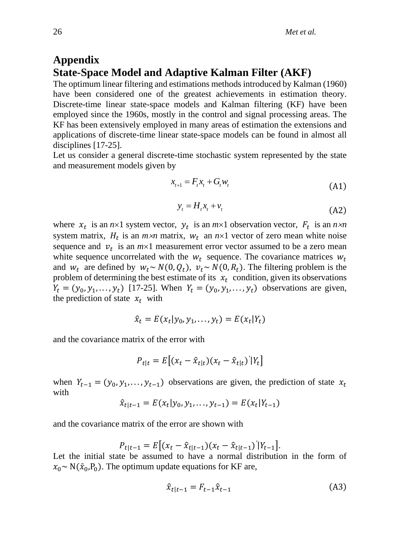## **Appendix State-Space Model and Adaptive Kalman Filter (AKF)**

The optimum linear filtering and estimations methods introduced by Kalman (1960) have been considered one of the greatest achievements in estimation theory. Discrete-time linear state-space models and Kalman filtering (KF) have been employed since the 1960s, mostly in the control and signal processing areas. The KF has been extensively employed in many areas of estimation the extensions and applications of discrete-time linear state-space models can be found in almost all disciplines [17-25].

Let us consider a general discrete-time stochastic system represented by the state and measurement models given by

$$
x_{t+1} = F_t x_t + G_t w_t \tag{A1}
$$

$$
y_t = H_t x_t + v_t \tag{A2}
$$

where  $x_t$  is an  $n \times 1$  system vector,  $y_t$  is an  $m \times 1$  observation vector,  $F_t$  is an  $n \times n$ system matrix,  $H_t$  is an  $m \times n$  matrix,  $W_t$  an  $n \times 1$  vector of zero mean white noise sequence and  $v_t$  is an  $m \times 1$  measurement error vector assumed to be a zero mean white sequence uncorrelated with the  $w_t$  sequence. The covariance matrices  $w_t$ and  $w_t$  are defined by  $w_t \sim N(0, Q_t)$ ,  $v_t \sim N(0, R_t)$ . The filtering problem is the problem of determining the best estimate of its  $x_t$  condition, given its observations  $Y_t = (y_0, y_1, \dots, y_t)$  [17-25]. When  $Y_t = (y_0, y_1, \dots, y_t)$  observations are given, the prediction of state  $x_t$  with

$$
\hat{x}_t = E(x_t | y_0, y_1, \dots, y_t) = E(x_t | Y_t)
$$

and the covariance matrix of the error with

$$
P_{t|t} = E\big[(x_t - \hat{x}_{t|t})(x_t - \hat{x}_{t|t})'|Y_t\big]
$$

when  $Y_{t-1} = (y_0, y_1, \ldots, y_{t-1})$  observations are given, the prediction of state  $x_t$ with

$$
\hat{x}_{t|t-1} = E(x_t|y_0, y_1, \dots, y_{t-1}) = E(x_t|Y_{t-1})
$$

and the covariance matrix of the error are shown with

$$
P_{t|t-1} = E\big[(x_t - \hat{x}_{t|t-1})(x_t - \hat{x}_{t|t-1})'|Y_{t-1}\big].
$$

Let the initial state be assumed to have a normal distribution in the form of  $x_0 \sim N(\bar{x}_0, P_0)$ . The optimum update equations for KF are,

$$
\hat{x}_{t|t-1} = F_{t-1}\hat{x}_{t-1}
$$
 (A3)